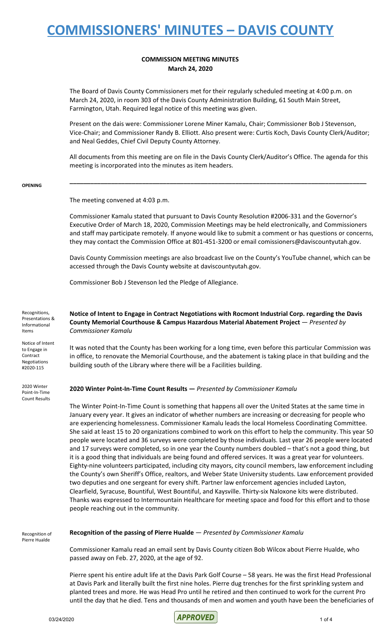### **COMMISSION MEETING MINUTES March 24, 2020**

The Board of Davis County Commissioners met for their regularly scheduled meeting at 4:00 p.m. on March 24, 2020, in room 303 of the Davis County Administration Building, 61 South Main Street, Farmington, Utah. Required legal notice of this meeting was given.

Present on the dais were: Commissioner Lorene Miner Kamalu, Chair; Commissioner Bob J Stevenson, Vice-Chair; and Commissioner Randy B. Elliott. Also present were: Curtis Koch, Davis County Clerk/Auditor; and Neal Geddes, Chief Civil Deputy County Attorney.

All documents from this meeting are on file in the Davis County Clerk/Auditor's Office. The agenda for this meeting is incorporated into the minutes as item headers.

**\_\_\_\_\_\_\_\_\_\_\_\_\_\_\_\_\_\_\_\_\_\_\_\_\_\_\_\_\_\_\_\_\_\_\_\_\_\_\_\_\_\_\_\_\_\_\_\_\_\_\_\_\_\_\_\_\_\_\_\_\_\_\_\_\_\_\_\_\_\_\_\_\_\_\_\_\_\_\_\_\_\_\_\_\_\_**

**OPENING**

The meeting convened at 4:03 p.m.

Commissioner Kamalu stated that pursuant to Davis County Resolution #2006-331 and the Governor's Executive Order of March 18, 2020, Commission Meetings may be held electronically, and Commissioners and staff may participate remotely. If anyone would like to submit a comment or has questions or concerns, they may contact the Commission Office at 801-451-3200 or email comissioners@daviscountyutah.gov.

Davis County Commission meetings are also broadcast live on the County's YouTube channel, which can be accessed through the Davis County website at daviscountyutah.gov.

Commissioner Bob J Stevenson led the Pledge of Allegiance.

Recognitions, Presentations & Informational Items

Notice of Intent to Engage in Contract Negotiations #2020-115

2020 Winter Point-In-Time Count Results **Notice of Intent to Engage in Contract Negotiations with Rocmont Industrial Corp. regarding the Davis County Memorial Courthouse & Campus Hazardous Material Abatement Project** — *Presented by Commissioner Kamalu*

It was noted that the County has been working for a long time, even before this particular Commission was in office, to renovate the Memorial Courthouse, and the abatement is taking place in that building and the building south of the Library where there will be a Facilities building.

### **2020 Winter Point-In-Time Count Results —** *Presented by Commissioner Kamalu*

The Winter Point-In-Time Count is something that happens all over the United States at the same time in January every year. It gives an indicator of whether numbers are increasing or decreasing for people who are experiencing homelessness. Commissioner Kamalu leads the local Homeless Coordinating Committee. She said at least 15 to 20 organizations combined to work on this effort to help the community. This year 50 people were located and 36 surveys were completed by those individuals. Last year 26 people were located and 17 surveys were completed, so in one year the County numbers doubled – that's not a good thing, but it is a good thing that individuals are being found and offered services. It was a great year for volunteers. Eighty-nine volunteers participated, including city mayors, city council members, law enforcement including the County's own Sheriff's Office, realtors, and Weber State University students. Law enforcement provided two deputies and one sergeant for every shift. Partner law enforcement agencies included Layton, Clearfield, Syracuse, Bountiful, West Bountiful, and Kaysville. Thirty-six Naloxone kits were distributed. Thanks was expressed to Intermountain Healthcare for meeting space and food for this effort and to those people reaching out in the community.

Recognition of Pierre Hualde

### **Recognition of the passing of Pierre Hualde** — *Presented by Commissioner Kamalu*

Commissioner Kamalu read an email sent by Davis County citizen Bob Wilcox about Pierre Hualde, who passed away on Feb. 27, 2020, at the age of 92.

Pierre spent his entire adult life at the Davis Park Golf Course – 58 years. He was the first Head Professional at Davis Park and literally built the first nine holes. Pierre dug trenches for the first sprinkling system and planted trees and more. He was Head Pro until he retired and then continued to work for the current Pro until the day that he died. Tens and thousands of men and women and youth have been the beneficiaries of

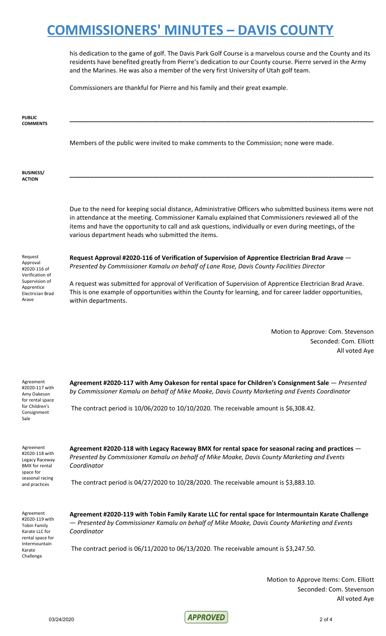his dedication to the game of golf. The Davis Park Golf Course is a marvelous course and the County and its residents have benefited greatly from Pierre's dedication to our County course. Pierre served in the Army and the Marines. He was also a member of the very first University of Utah golf team.

**\_\_\_\_\_\_\_\_\_\_\_\_\_\_\_\_\_\_\_\_\_\_\_\_\_\_\_\_\_\_\_\_\_\_\_\_\_\_\_\_\_\_\_\_\_\_\_\_\_\_\_\_\_\_\_\_\_\_\_\_\_\_\_\_\_\_\_\_\_\_\_\_\_\_\_\_\_\_\_\_\_\_\_\_\_\_\_\_**

Commissioners are thankful for Pierre and his family and their great example.

#### **PUBLIC COMMENTS**

Members of the public were invited to make comments to the Commission; none were made.

**BUSINESS/ ACTION**

> Due to the need for keeping social distance, Administrative Officers who submitted business items were not in attendance at the meeting. Commissioner Kamalu explained that Commissioners reviewed all of the items and have the opportunity to call and ask questions, individually or even during meetings, of the various department heads who submitted the items.

> **\_\_\_\_\_\_\_\_\_\_\_\_\_\_\_\_\_\_\_\_\_\_\_\_\_\_\_\_\_\_\_\_\_\_\_\_\_\_\_\_\_\_\_\_\_\_\_\_\_\_\_\_\_\_\_\_\_\_\_\_\_\_\_\_\_\_\_\_\_\_\_\_\_\_\_\_\_\_\_\_\_\_\_\_\_\_\_\_**

Request Approval #2020-116 of Verification of Supervision of Apprentice Electrician Brad Arave

**Request Approval #2020-116 of Verification of Supervision of Apprentice Electrician Brad Arave** — *Presented by Commissioner Kamalu on behalf of Lane Rose, Davis County Facilities Director*

A request was submitted for approval of Verification of Supervision of Apprentice Electrician Brad Arave. This is one example of opportunities within the County for learning, and for career ladder opportunities, within departments.

> Motion to Approve: Com. Stevenson Seconded: Com. Elliott All voted Aye

Agreement #2020-117 with Amy Oakeson for rental space for Children's Consignment Sale **Agreement #2020-117 with Amy Oakeson for rental space for Children's Consignment Sale** — *Presented by Commissioner Kamalu on behalf of Mike Moake, Davis County Marketing and Events Coordinator* The contract period is 10/06/2020 to 10/10/2020. The receivable amount is \$6,308.42. Agreement #2020-118 with Legacy Raceway BMX for rental space for seasonal racing and practices **Agreement #2020-118 with Legacy Raceway BMX for rental space for seasonal racing and practices** — *Presented by Commissioner Kamalu on behalf of Mike Moake, Davis County Marketing and Events Coordinator* The contract period is 04/27/2020 to 10/28/2020. The receivable amount is \$3,883.10. Agreement #2020-119 with **Agreement #2020-119 with Tobin Family Karate LLC for rental space for Intermountain Karate Challenge**

— *Presented by Commissioner Kamalu on behalf of Mike Moake, Davis County Marketing and Events Coordinator*

The contract period is 06/11/2020 to 06/13/2020. The receivable amount is \$3,247.50.

Motion to Approve Items: Com. Elliott Seconded: Com. Stevenson All voted Aye

Tobin Family Karate LLC for rental space for Intermountain Karate Challenge

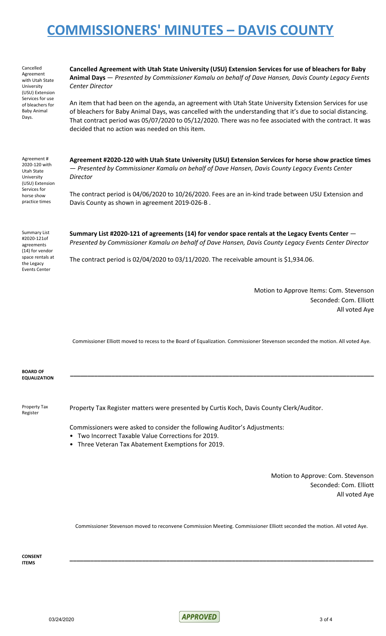| Cancelled<br>Agreement<br>with Utah State<br>University<br>(USU) Extension | Cancelled Agreement with Utah State University (USU) Extension Services for use of bleachers for Baby<br>Animal Days — Presented by Commissioner Kamalu on behalf of Dave Hansen, Davis County Legacy Events<br><b>Center Director</b>                                                                                                                                                |
|----------------------------------------------------------------------------|---------------------------------------------------------------------------------------------------------------------------------------------------------------------------------------------------------------------------------------------------------------------------------------------------------------------------------------------------------------------------------------|
| Services for use<br>of bleachers for<br><b>Baby Animal</b><br>Days.        | An item that had been on the agenda, an agreement with Utah State University Extension Services for use<br>of bleachers for Baby Animal Days, was cancelled with the understanding that it's due to social distancing.<br>That contract period was 05/07/2020 to 05/12/2020. There was no fee associated with the contract. It was<br>decided that no action was needed on this item. |
| Agreement#<br>2020-120 with<br>Utah State<br>University<br>(USU) Extension | Agreement #2020-120 with Utah State University (USU) Extension Services for horse show practice times<br>- Presented by Commissioner Kamalu on behalf of Dave Hansen, Davis County Legacy Events Center<br>Director                                                                                                                                                                   |
| Services for<br>horse show<br>practice times                               | The contract period is 04/06/2020 to 10/26/2020. Fees are an in-kind trade between USU Extension and<br>Davis County as shown in agreement 2019-026-B.                                                                                                                                                                                                                                |
| <b>Summary List</b><br>#2020-121of<br>agreements<br>(14) for vendor        | Summary List #2020-121 of agreements (14) for vendor space rentals at the Legacy Events Center -<br>Presented by Commissioner Kamalu on behalf of Dave Hansen, Davis County Legacy Events Center Director                                                                                                                                                                             |
| space rentals at<br>the Legacy<br><b>Events Center</b>                     | The contract period is $02/04/2020$ to $03/11/2020$ . The receivable amount is \$1,934.06.                                                                                                                                                                                                                                                                                            |
|                                                                            | Motion to Approve Items: Com. Stevenson                                                                                                                                                                                                                                                                                                                                               |
|                                                                            | Seconded: Com. Elliott                                                                                                                                                                                                                                                                                                                                                                |
|                                                                            | All voted Aye                                                                                                                                                                                                                                                                                                                                                                         |
|                                                                            | Commissioner Elliott moved to recess to the Board of Equalization. Commissioner Stevenson seconded the motion. All voted Aye.                                                                                                                                                                                                                                                         |
| <b>BOARD OF</b><br><b>EQUALIZATION</b>                                     |                                                                                                                                                                                                                                                                                                                                                                                       |
|                                                                            |                                                                                                                                                                                                                                                                                                                                                                                       |
| Property Tax<br>Register                                                   | Property Tax Register matters were presented by Curtis Koch, Davis County Clerk/Auditor.                                                                                                                                                                                                                                                                                              |
|                                                                            | Commissioners were asked to consider the following Auditor's Adjustments:<br>Two Incorrect Taxable Value Corrections for 2019.                                                                                                                                                                                                                                                        |

• Three Veteran Tax Abatement Exemptions for 2019.

Motion to Approve: Com. Stevenson Seconded: Com. Elliott All voted Aye

Commissioner Stevenson moved to reconvene Commission Meeting. Commissioner Elliott seconded the motion. All voted Aye.

**\_\_\_\_\_\_\_\_\_\_\_\_\_\_\_\_\_\_\_\_\_\_\_\_\_\_\_\_\_\_\_\_\_\_\_\_\_\_\_\_\_\_\_\_\_\_\_\_\_\_\_\_\_\_\_\_\_\_\_\_\_\_\_\_\_\_\_\_\_\_\_\_\_\_\_\_\_\_\_\_\_\_\_\_\_\_\_\_**

**CONSENT ITEMS**

 $\begin{array}{|c|c|c|c|c|}\n \hline\n \textbf{A} & \textbf{B} & \textbf{B} & \textbf{B} & \textbf{B} \\
\hline\n \textbf{A} & \textbf{B} & \textbf{B} & \textbf{B} & \textbf{B} & \textbf{B} \\
\hline\n \textbf{A} & \textbf{B} & \textbf{B} & \textbf{B} & \textbf{B} & \textbf{B} & \textbf{B} \\
\hline\n \textbf{A} & \textbf{B} & \textbf{B} & \textbf{B} & \textbf{B} & \textbf{B} & \textbf{B} & \textbf{B} & \textbf{$